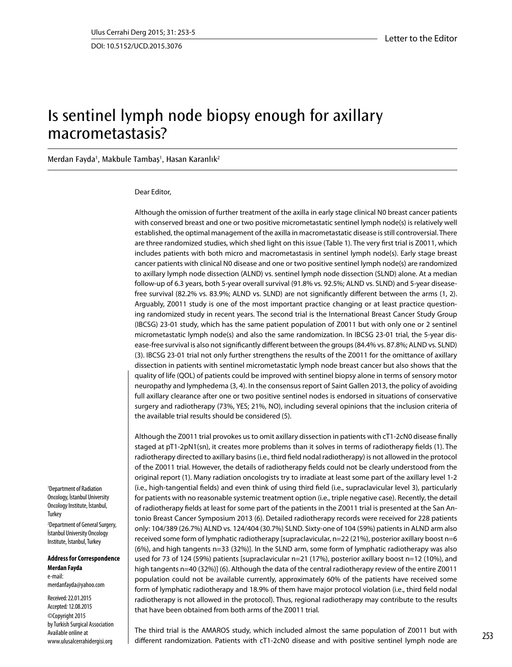DOI: 10.5152/UCD.2015.3076

## Is sentinel lymph node biopsy enough for axillary macrometastasis?

Merdan Fayda<sup>1</sup>, Makbule Tambaş<sup>1</sup>, Hasan Karanlık<sup>2</sup>

## Dear Editor,

Although the omission of further treatment of the axilla in early stage clinical N0 breast cancer patients with conserved breast and one or two positive micrometastatic sentinel lymph node(s) is relatively well established, the optimal management of the axilla in macrometastatic disease is still controversial. There are three randomized studies, which shed light on this issue (Table 1). The very first trial is Z0011, which includes patients with both micro and macrometastasis in sentinel lymph node(s). Early stage breast cancer patients with clinical N0 disease and one or two positive sentinel lymph node(s) are randomized to axillary lymph node dissection (ALND) vs. sentinel lymph node dissection (SLND) alone. At a median follow-up of 6.3 years, both 5-year overall survival (91.8% vs. 92.5%; ALND vs. SLND) and 5-year diseasefree survival (82.2% vs. 83.9%; ALND vs. SLND) are not significantly different between the arms (1, 2). Arguably, Z0011 study is one of the most important practice changing or at least practice questioning randomized study in recent years. The second trial is the International Breast Cancer Study Group (IBCSG) 23-01 study, which has the same patient population of Z0011 but with only one or 2 sentinel micrometastatic lymph node(s) and also the same randomization. In IBCSG 23-01 trial, the 5-year disease-free survival is also not significantly different between the groups (84.4% vs. 87.8%; ALND vs. SLND) (3). IBCSG 23-01 trial not only further strengthens the results of the Z0011 for the omittance of axillary dissection in patients with sentinel micrometastatic lymph node breast cancer but also shows that the quality of life (QOL) of patients could be improved with sentinel biopsy alone in terms of sensory motor neuropathy and lymphedema (3, 4). In the consensus report of Saint Gallen 2013, the policy of avoiding full axillary clearance after one or two positive sentinel nodes is endorsed in situations of conservative surgery and radiotherapy (73%, YES; 21%, NO), including several opinions that the inclusion criteria of the available trial results should be considered (5).

Although the Z0011 trial provokes us to omit axillary dissection in patients with cT1-2cN0 disease finally staged at pT1-2pN1(sn), it creates more problems than it solves in terms of radiotherapy fields (1). The radiotherapy directed to axillary basins (i.e., third field nodal radiotherapy) is not allowed in the protocol of the Z0011 trial. However, the details of radiotherapy fields could not be clearly understood from the original report (1). Many radiation oncologists try to irradiate at least some part of the axillary level 1-2 (i.e., high-tangential fields) and even think of using third field (i.e., supraclavicular level 3), particularly for patients with no reasonable systemic treatment option (i.e., triple negative case). Recently, the detail of radiotherapy fields at least for some part of the patients in the Z0011 trial is presented at the San Antonio Breast Cancer Symposium 2013 (6). Detailed radiotherapy records were received for 228 patients only: 104/389 (26.7%) ALND vs. 124/404 (30.7%) SLND. Sixty-one of 104 (59%) patients in ALND arm also received some form of lymphatic radiotherapy [supraclavicular, n=22 (21%), posterior axillary boost n=6 (6%), and high tangents n=33 (32%)]. In the SLND arm, some form of lymphatic radiotherapy was also used for 73 of 124 (59%) patients [supraclavicular n=21 (17%), posterior axillary boost n=12 (10%), and high tangents n=40 (32%)] (6). Although the data of the central radiotherapy review of the entire Z0011 population could not be available currently, approximately 60% of the patients have received some form of lymphatic radiotherapy and 18.9% of them have major protocol violation (i.e., third field nodal radiotherapy is not allowed in the protocol). Thus, regional radiotherapy may contribute to the results that have been obtained from both arms of the Z0011 trial.

<sup>1</sup>Department of Radiation Oncology, İstanbul University Oncology Institute, İstanbul, **Turkey** <sup>2</sup>Department of General Surgery, İstanbul University Oncology Institute, İstanbul, Turkey

**Address for Correspondence Merdan Fayda** e-mail: merdanfayda@yahoo.com

Received: 22.01.2015 Accepted: 12.08.2015 ©Copyright 2015 by Turkish Surgical Association Available online at www.ulusalcerrahidergisi.org

The third trial is the AMAROS study, which included almost the same population of Z0011 but with different randomization. Patients with cT1-2cN0 disease and with positive sentinel lymph node are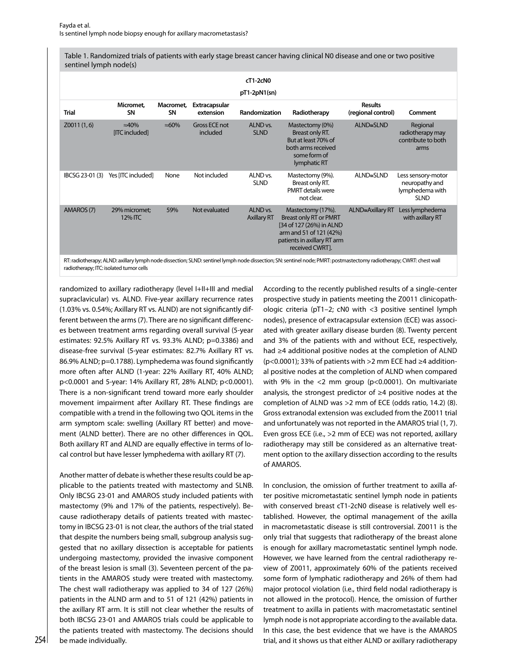Table 1. Randomized trials of patients with early stage breast cancer having clinical N0 disease and one or two positive sentinel lymph node(s)

| cT1-2cN0<br>pT1-2pN1(sn)<br><b>Results</b><br>Micromet.<br>Macromet.<br><b>Extracapsular</b><br><b>Trial</b><br>SΝ<br>SΝ<br>extension<br><b>Randomization</b><br>Radiotherapy<br>(regional control)                                                                                         | Comment                                                                |
|---------------------------------------------------------------------------------------------------------------------------------------------------------------------------------------------------------------------------------------------------------------------------------------------|------------------------------------------------------------------------|
|                                                                                                                                                                                                                                                                                             |                                                                        |
|                                                                                                                                                                                                                                                                                             |                                                                        |
| ALND <sub>vs.</sub><br><b>Gross ECE not</b><br>ALND≅SLND<br>Z0011(1,6)<br>$\approx 40\%$<br>$\approx 60\%$<br>Mastectomy (0%)<br>included<br><b>SLND</b><br>[ITC included]<br>Breast only RT.<br>But at least 70% of<br>both arms received<br>some form of<br>lymphatic RT                  | Regional<br>radiotherapy may<br>contribute to both<br>arms             |
| Not included<br>ALND <sub>vs.</sub><br>ALND≅SLND<br>IBCSG 23-01 (3)<br>Yes [ITC included]<br>Mastectomy (9%).<br>None<br><b>SLND</b><br>Breast only RT.<br><b>PMRT</b> details were<br>not clear.                                                                                           | Less sensory-motor<br>neuropathy and<br>lymphedema with<br><b>SLND</b> |
| AMAROS (7)<br>Not evaluated<br>ALND vs.<br>ALND $\cong$ Axillary RT<br>29% micromet;<br>59%<br>Mastectomy (17%).<br><b>Breast only RT or PMRT</b><br>12% ITC<br><b>Axillary RT</b><br>[34 of 127 (26%) in ALND<br>arm and 51 of 121 (42%)<br>patients in axillary RT arm<br>received CWRT]. | Less lymphedema<br>with axillary RT                                    |

RT: radiotherapy; ALND: axillary lymph node dissection; SLND: sentinel lymph node dissection; SN: sentinel node; PMRT: postmastectomy radiotherapy; CWRT: chest wall radiotherapy; ITC: isolated tumor cells

randomized to axillary radiotherapy (level I+II+III and medial supraclavicular) vs. ALND. Five-year axillary recurrence rates (1.03% vs. 0.54%; Axillary RT vs. ALND) are not significantly different between the arms (7). There are no significant differences between treatment arms regarding overall survival (5-year estimates: 92.5% Axillary RT vs. 93.3% ALND; p=0.3386) and disease-free survival (5-year estimates: 82.7% Axillary RT vs. 86.9% ALND; p=0.1788). Lymphedema was found significantly more often after ALND (1-year: 22% Axillary RT, 40% ALND; p<0.0001 and 5-year: 14% Axillary RT, 28% ALND; p<0.0001). There is a non-significant trend toward more early shoulder movement impairment after Axillary RT. These findings are compatible with a trend in the following two QOL items in the arm symptom scale: swelling (Axillary RT better) and movement (ALND better). There are no other differences in QOL. Both axillary RT and ALND are equally effective in terms of local control but have lesser lymphedema with axillary RT (7).

Another matter of debate is whether these results could be applicable to the patients treated with mastectomy and SLNB. Only IBCSG 23-01 and AMAROS study included patients with mastectomy (9% and 17% of the patients, respectively). Because radiotherapy details of patients treated with mastectomy in IBCSG 23-01 is not clear, the authors of the trial stated that despite the numbers being small, subgroup analysis suggested that no axillary dissection is acceptable for patients undergoing mastectomy, provided the invasive component of the breast lesion is small (3). Seventeen percent of the patients in the AMAROS study were treated with mastectomy. The chest wall radiotherapy was applied to 34 of 127 (26%) patients in the ALND arm and to 51 of 121 (42%) patients in the axillary RT arm. It is still not clear whether the results of both IBCSG 23-01 and AMAROS trials could be applicable to the patients treated with mastectomy. The decisions should be made individually.

According to the recently published results of a single-center prospective study in patients meeting the Z0011 clinicopathologic criteria (pT1–2; cN0 with <3 positive sentinel lymph nodes), presence of extracapsular extension (ECE) was associated with greater axillary disease burden (8). Twenty percent and 3% of the patients with and without ECE, respectively, had ≥4 additional positive nodes at the completion of ALND ( $p$ <0.0001); 33% of patients with >2 mm ECE had  $\geq$ 4 additional positive nodes at the completion of ALND when compared with 9% in the  $<$ 2 mm group (p $<$ 0.0001). On multivariate analysis, the strongest predictor of ≥4 positive nodes at the completion of ALND was >2 mm of ECE (odds ratio, 14.2) (8). Gross extranodal extension was excluded from the Z0011 trial and unfortunately was not reported in the AMAROS trial (1, 7). Even gross ECE (i.e., >2 mm of ECE) was not reported, axillary radiotherapy may still be considered as an alternative treatment option to the axillary dissection according to the results of AMAROS.

In conclusion, the omission of further treatment to axilla after positive micrometastatic sentinel lymph node in patients with conserved breast cT1-2cN0 disease is relatively well established. However, the optimal management of the axilla in macrometastatic disease is still controversial. Z0011 is the only trial that suggests that radiotherapy of the breast alone is enough for axillary macrometastatic sentinel lymph node. However, we have learned from the central radiotherapy review of Z0011, approximately 60% of the patients received some form of lymphatic radiotherapy and 26% of them had major protocol violation (i.e., third field nodal radiotherapy is not allowed in the protocol). Hence, the omission of further treatment to axilla in patients with macrometastatic sentinel lymph node is not appropriate according to the available data. In this case, the best evidence that we have is the AMAROS 254 be made individually. The state of the state of trial, and it shows us that either ALND or axillary radiotherapy